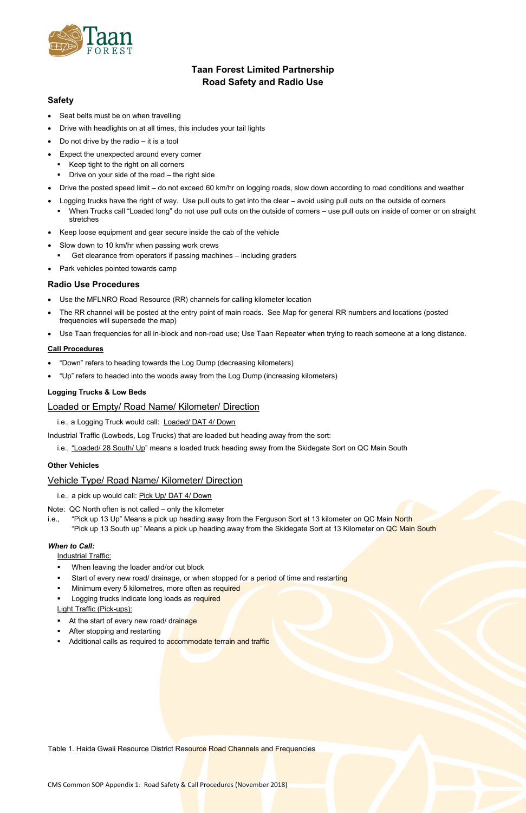CMS Common SOP Appendix 1: Road Safety & Call Procedures (November 2018)



# **Taan Forest Limited Partnership Road Safety and Radio Use**

## **Safety**

- Use the MFLNRO Road Resource (RR) channels for calling kilometer location
- The RR channel will be posted at the entry point of main roads. See Map for general RR numbers and locations (posted frequencies will supersede the map)
- Use Taan frequencies for all in-block and non-road use; Use Taan Repeater when trying to reach someone at a long distance.
- Seat belts must be on when travelling
- Drive with headlights on at all times, this includes your tail lights
- Do not drive by the radio  $-$  it is a tool
- Expect the unexpected around every corner
	- Keep tight to the right on all corners
	- **•** Drive on your side of the road the right side
- Drive the posted speed limit do not exceed 60 km/hr on logging roads, slow down according to road conditions and weather
- Logging trucks have the right of way. Use pull outs to get into the clear avoid using pull outs on the outside of corners
- When Trucks call "Loaded long" do not use pull outs on the outside of corners use pull outs on inside of corner or on straight stretches
- Keep loose equipment and gear secure inside the cab of the vehicle
- Slow down to 10 km/hr when passing work crews
	- **EXECT** Get clearance from operators if passing machines including graders
- Park vehicles pointed towards camp

### **Radio Use Procedures**

- When leaving the loader and/or cut block
- Start of every new road/ drainage, or when stopped for a period of time and restarting
- Minimum every 5 kilometres, more often as required
- Logging trucks indicate long loads as required Light Traffic (Pick-ups):
- At the start of every new road/ drainage
- After stopping and restarting
- Additional calls as required to accommodate terrain and traffic

Table 1. Haida Gwaii Resource District Resource Road Channels and Frequencies

#### **Call Procedures**

- "Down" refers to heading towards the Log Dump (decreasing kilometers)
- "Up" refers to headed into the woods away from the Log Dump (increasing kilometers)

#### **Logging Trucks & Low Beds**

## Loaded or Empty/ Road Name/ Kilometer/ Direction

i.e., a Logging Truck would call: Loaded/ DAT 4/ Down

Industrial Traffic (Lowbeds, Log Trucks) that are loaded but heading away from the sort:

i.e., "Loaded/ 28 South/ Up" means a loaded truck heading away from the Skidegate Sort on QC Main South

#### **Other Vehicles**

### Vehicle Type/ Road Name/ Kilometer/ Direction

- i.e., a pick up would call: Pick Up/ DAT 4/ Down
- Note: QC North often is not called only the kilometer
- i.e., "Pick up 13 Up" Means a pick up heading away from the Ferguson Sort at 13 kilometer on QC Main North "Pick up 13 South up" Means a pick up heading away from the Skidegate Sort at 13 Kilometer on QC Main South

#### *When to Call:*

Industrial Traffic: